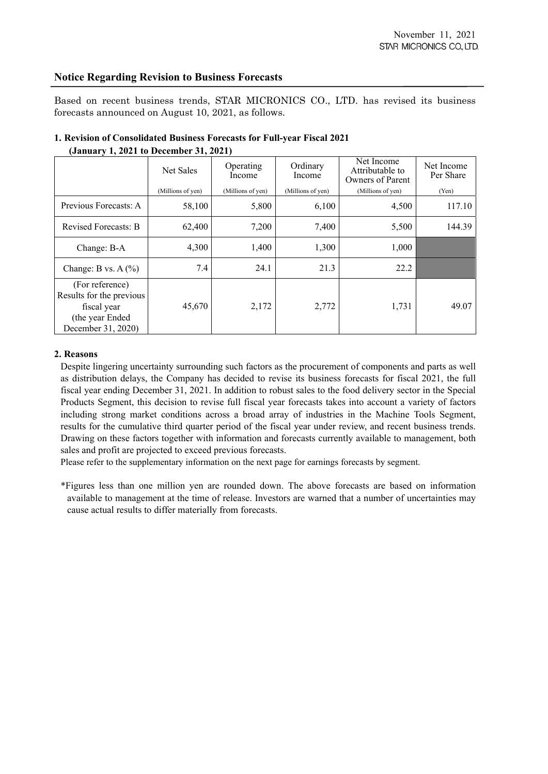## **Notice Regarding Revision to Business Forecasts**

Based on recent business trends, STAR MICRONICS CO., LTD. has revised its business forecasts announced on August 10, 2021, as follows.

|                                                                                                     | Net Sales         | Operating<br>Income | Ordinary<br>Income | Net Income<br>Attributable to<br>Owners of Parent | Net Income<br>Per Share |
|-----------------------------------------------------------------------------------------------------|-------------------|---------------------|--------------------|---------------------------------------------------|-------------------------|
|                                                                                                     | (Millions of yen) | (Millions of yen)   | (Millions of yen)  | (Millions of yen)                                 | (Yen)                   |
| Previous Forecasts: A                                                                               | 58,100            | 5,800               | 6,100              | 4,500                                             | 117.10                  |
| <b>Revised Forecasts: B</b>                                                                         | 62,400            | 7,200               | 7,400              | 5,500                                             | 144.39                  |
| Change: B-A                                                                                         | 4,300             | 1,400               | 1,300              | 1,000                                             |                         |
| Change: B vs. $A(\%)$                                                                               | 7.4               | 24.1                | 21.3               | 22.2                                              |                         |
| (For reference)<br>Results for the previous<br>fiscal year<br>(the year Ended<br>December 31, 2020) | 45,670            | 2,172               | 2,772              | 1,731                                             | 49.07                   |

## **1. Revision of Consolidated Business Forecasts for Full-year Fiscal 2021 (January 1, 2021 to December 31, 2021)**

## **2. Reasons**

Despite lingering uncertainty surrounding such factors as the procurement of components and parts as well as distribution delays, the Company has decided to revise its business forecasts for fiscal 2021, the full fiscal year ending December 31, 2021. In addition to robust sales to the food delivery sector in the Special Products Segment, this decision to revise full fiscal year forecasts takes into account a variety of factors including strong market conditions across a broad array of industries in the Machine Tools Segment, results for the cumulative third quarter period of the fiscal year under review, and recent business trends. Drawing on these factors together with information and forecasts currently available to management, both sales and profit are projected to exceed previous forecasts.

Please refer to the supplementary information on the next page for earnings forecasts by segment.

\*Figures less than one million yen are rounded down. The above forecasts are based on information available to management at the time of release. Investors are warned that a number of uncertainties may cause actual results to differ materially from forecasts.